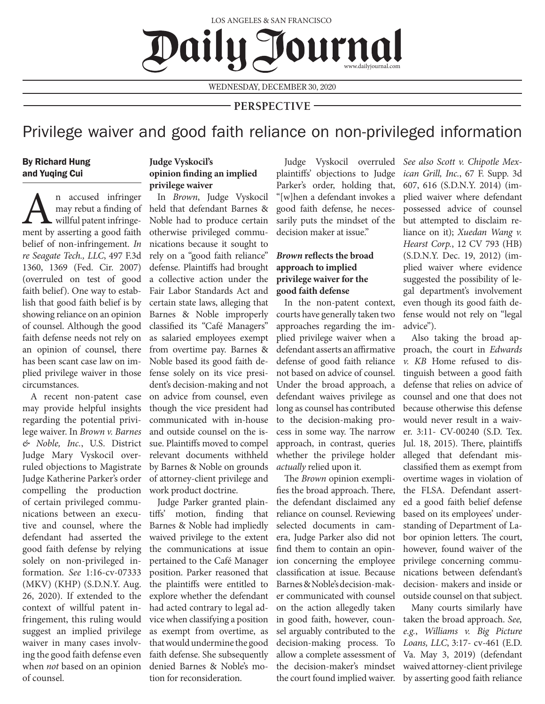LOS ANGELES & SAN FRANCISCO Daily-Sournal www.dailyjournal.com

WEDNESDAY, DECEMBER 30, 2020

## **PERSPECTIVE**

# Privilege waiver and good faith reliance on non-privileged information

## By Richard Hung and Yuqing Cui

An accused infringer<br>
may rebut a finding of<br>
willful patent infringe-<br>
ment by asserting a good faith may rebut a finding of willful patent infringebelief of non-infringement. *In re Seagate Tech., LLC*, 497 F.3d 1360, 1369 (Fed. Cir. 2007) (overruled on test of good faith belief). One way to establish that good faith belief is by showing reliance on an opinion of counsel. Although the good faith defense needs not rely on an opinion of counsel, there has been scant case law on implied privilege waiver in those circumstances.

A recent non-patent case may provide helpful insights regarding the potential privilege waiver. In *Brown v. Barnes & Noble, Inc.*, U.S. District Judge Mary Vyskocil overruled objections to Magistrate Judge Katherine Parker's order compelling the production of certain privileged communications between an executive and counsel, where the defendant had asserted the good faith defense by relying solely on non-privileged information. *See* 1:16-cv-07333 (MKV) (KHP) (S.D.N.Y. Aug. 26, 2020). If extended to the context of willful patent infringement, this ruling would suggest an implied privilege waiver in many cases involving the good faith defense even when *not* based on an opinion of counsel.

### **Judge Vyskocil's opinion finding an implied privilege waiver**

In *Brown*, Judge Vyskocil held that defendant Barnes & Noble had to produce certain otherwise privileged communications because it sought to rely on a "good faith reliance" defense. Plaintiffs had brought a collective action under the Fair Labor Standards Act and certain state laws, alleging that Barnes & Noble improperly classified its "Café Managers" as salaried employees exempt from overtime pay. Barnes & Noble based its good faith defense solely on its vice president's decision-making and not on advice from counsel, even though the vice president had communicated with in-house and outside counsel on the issue. Plaintiffs moved to compel relevant documents withheld by Barnes & Noble on grounds of attorney-client privilege and work product doctrine.

Judge Parker granted plaintiffs' motion, finding that Barnes & Noble had impliedly waived privilege to the extent the communications at issue pertained to the Café Manager position. Parker reasoned that the plaintiffs were entitled to explore whether the defendant had acted contrary to legal advice when classifying a position as exempt from overtime, as that would undermine the good faith defense. She subsequently denied Barnes & Noble's motion for reconsideration.

Judge Vyskocil overruled *See also Scott v. Chipotle Mex*plaintiffs' objections to Judge Parker's order, holding that, "[w]hen a defendant invokes a good faith defense, he necessarily puts the mindset of the decision maker at issue."

## *Brown* **reflects the broad approach to implied privilege waiver for the good faith defense**

In the non-patent context, courts have generally taken two approaches regarding the implied privilege waiver when a defendant asserts an affirmative defense of good faith reliance not based on advice of counsel. Under the broad approach, a defendant waives privilege as long as counsel has contributed to the decision-making process in some way. The narrow approach, in contrast, queries whether the privilege holder *actually* relied upon it.

The *Brown* opinion exemplifies the broad approach. There, the defendant disclaimed any reliance on counsel. Reviewing selected documents in camera, Judge Parker also did not find them to contain an opinion concerning the employee classification at issue. Because Barnes & Noble's decision-maker communicated with counsel on the action allegedly taken in good faith, however, counsel arguably contributed to the decision-making process. To allow a complete assessment of *ican Grill, Inc.*, 67 F. Supp. 3d 607, 616 (S.D.N.Y. 2014) (implied waiver where defendant possessed advice of counsel but attempted to disclaim reliance on it); *Xuedan Wang v. Hearst Corp.*, 12 CV 793 (HB) (S.D.N.Y. Dec. 19, 2012) (implied waiver where evidence suggested the possibility of legal department's involvement even though its good faith defense would not rely on "legal advice").

Also taking the broad approach, the court in *Edwards v. KB* Home refused to distinguish between a good faith defense that relies on advice of counsel and one that does not because otherwise this defense would never result in a waiver. 3:11- CV-00240 (S.D. Tex. Jul. 18, 2015). There, plaintiffs alleged that defendant misclassified them as exempt from overtime wages in violation of the FLSA. Defendant asserted a good faith belief defense based on its employees' understanding of Department of Labor opinion letters. The court, however, found waiver of the privilege concerning communications between defendant's decision- makers and inside or outside counsel on that subject.

the decision-maker's mindset waived attorney-client privilege the court found implied waiver. by asserting good faith reliance Many courts similarly have taken the broad approach. *See, e.g.*, *Williams v. Big Picture Loans, LLC*, 3:17- cv-461 (E.D. Va. May 3, 2019) (defendant